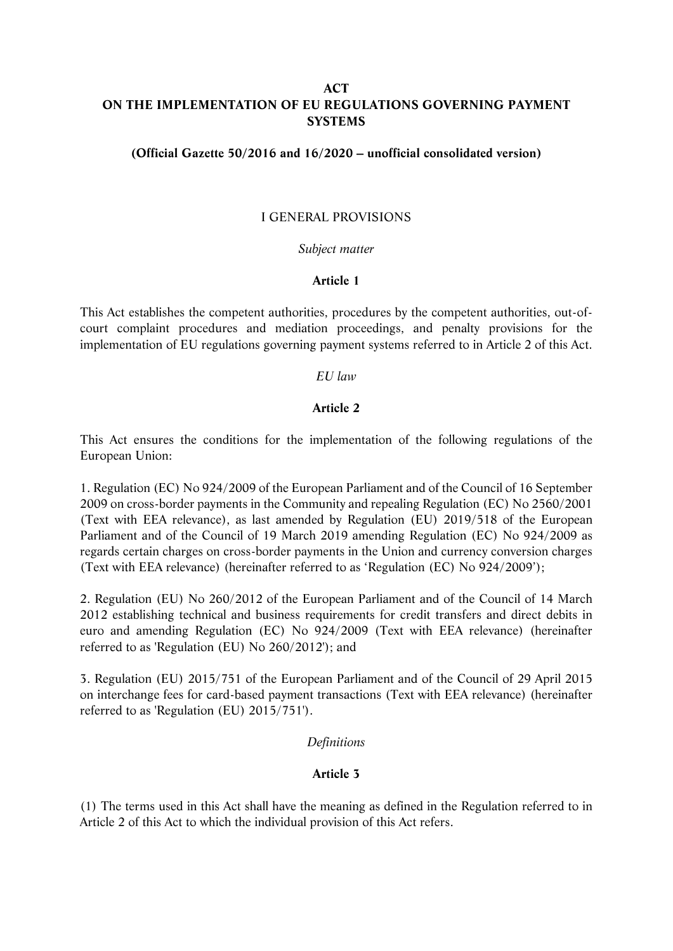# **ACT ON THE IMPLEMENTATION OF EU REGULATIONS GOVERNING PAYMENT SYSTEMS**

### **(Official Gazette 50/2016 and 16/2020 – unofficial consolidated version)**

## I GENERAL PROVISIONS

### *Subject matter*

### **Article 1**

This Act establishes the competent authorities, procedures by the competent authorities, out-ofcourt complaint procedures and mediation proceedings, and penalty provisions for the implementation of EU regulations governing payment systems referred to in Article 2 of this Act.

### *EU law*

## **Article 2**

This Act ensures the conditions for the implementation of the following regulations of the European Union:

1. Regulation (EC) No 924/2009 of the European Parliament and of the Council of 16 September 2009 on cross-border payments in the Community and repealing Regulation (EC) No 2560/2001 (Text with EEA relevance), as last amended by Regulation (EU) 2019/518 of the European Parliament and of the Council of 19 March 2019 amending Regulation (EC) No 924/2009 as regards certain charges on cross-border payments in the Union and currency conversion charges (Text with EEA relevance) (hereinafter referred to as 'Regulation (EC) No 924/2009');

2. Regulation (EU) No 260/2012 of the European Parliament and of the Council of 14 March 2012 establishing technical and business requirements for credit transfers and direct debits in euro and amending Regulation (EC) No 924/2009 (Text with EEA relevance) (hereinafter referred to as 'Regulation (EU) No 260/2012'); and

3. Regulation (EU) 2015/751 of the European Parliament and of the Council of 29 April 2015 on interchange fees for card-based payment transactions (Text with EEA relevance) (hereinafter referred to as 'Regulation (EU) 2015/751').

### *Definitions*

### **Article 3**

(1) The terms used in this Act shall have the meaning as defined in the Regulation referred to in Article 2 of this Act to which the individual provision of this Act refers.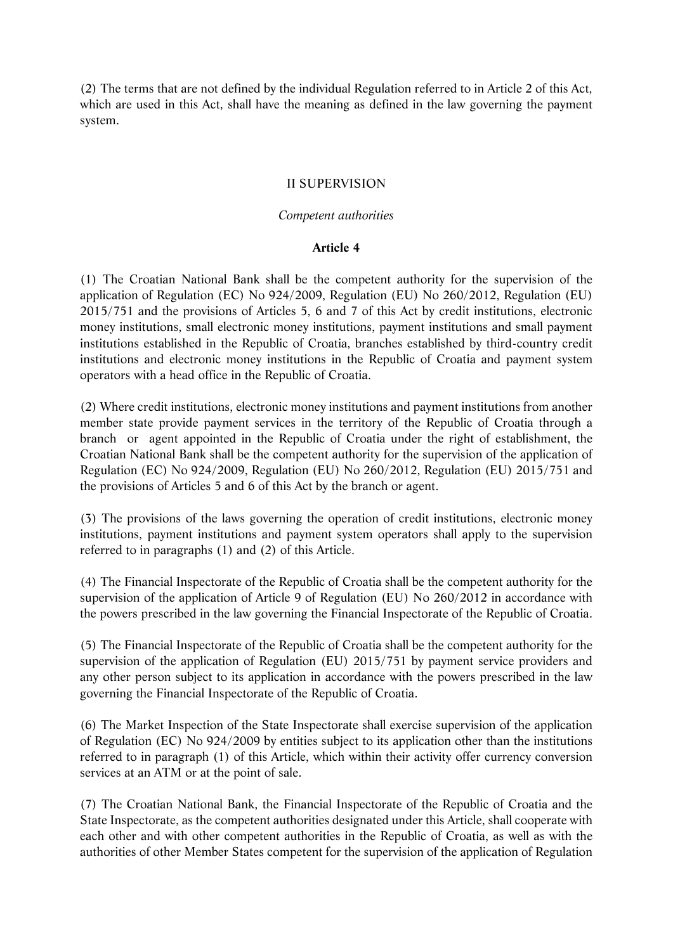(2) The terms that are not defined by the individual Regulation referred to in Article 2 of this Act, which are used in this Act, shall have the meaning as defined in the law governing the payment system.

# II SUPERVISION

## *Competent authorities*

### **Article 4**

(1) The Croatian National Bank shall be the competent authority for the supervision of the application of Regulation (EC) No 924/2009, Regulation (EU) No 260/2012, Regulation (EU) 2015/751 and the provisions of Articles 5, 6 and 7 of this Act by credit institutions, electronic money institutions, small electronic money institutions, payment institutions and small payment institutions established in the Republic of Croatia, branches established by third-country credit institutions and electronic money institutions in the Republic of Croatia and payment system operators with a head office in the Republic of Croatia.

(2) Where credit institutions, electronic money institutions and payment institutions from another member state provide payment services in the territory of the Republic of Croatia through a branch or agent appointed in the Republic of Croatia under the right of establishment, the Croatian National Bank shall be the competent authority for the supervision of the application of Regulation (EC) No 924/2009, Regulation (EU) No 260/2012, Regulation (EU) 2015/751 and the provisions of Articles 5 and 6 of this Act by the branch or agent.

(3) The provisions of the laws governing the operation of credit institutions, electronic money institutions, payment institutions and payment system operators shall apply to the supervision referred to in paragraphs (1) and (2) of this Article.

(4) The Financial Inspectorate of the Republic of Croatia shall be the competent authority for the supervision of the application of Article 9 of Regulation (EU) No 260/2012 in accordance with the powers prescribed in the law governing the Financial Inspectorate of the Republic of Croatia.

(5) The Financial Inspectorate of the Republic of Croatia shall be the competent authority for the supervision of the application of Regulation (EU) 2015/751 by payment service providers and any other person subject to its application in accordance with the powers prescribed in the law governing the Financial Inspectorate of the Republic of Croatia.

(6) The Market Inspection of the State Inspectorate shall exercise supervision of the application of Regulation (EC) No 924/2009 by entities subject to its application other than the institutions referred to in paragraph (1) of this Article, which within their activity offer currency conversion services at an ATM or at the point of sale.

(7) The Croatian National Bank, the Financial Inspectorate of the Republic of Croatia and the State Inspectorate, as the competent authorities designated under this Article, shall cooperate with each other and with other competent authorities in the Republic of Croatia, as well as with the authorities of other Member States competent for the supervision of the application of Regulation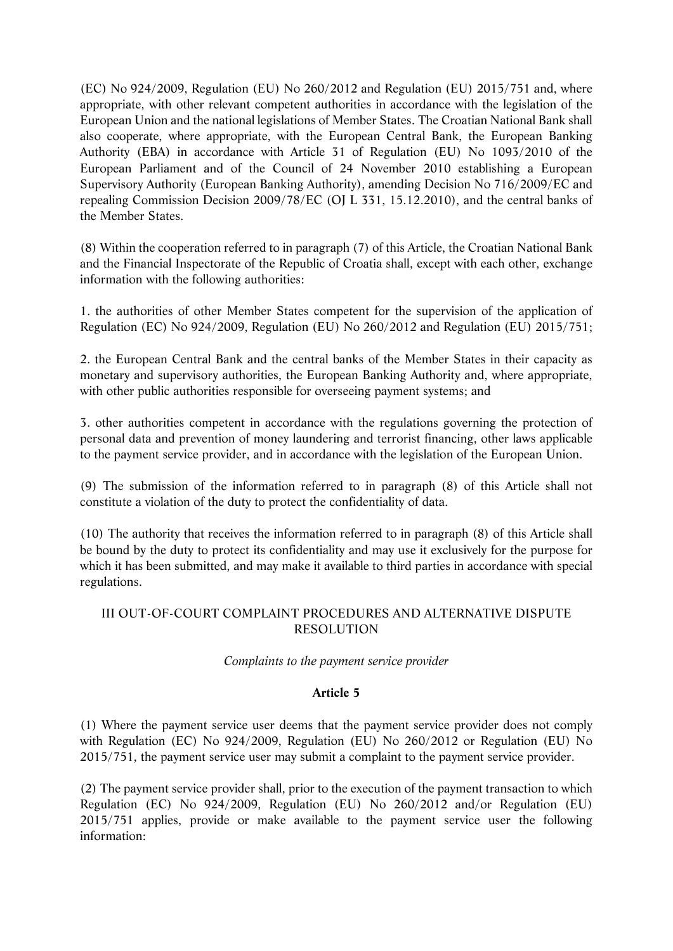(EC) No 924/2009, Regulation (EU) No 260/2012 and Regulation (EU) 2015/751 and, where appropriate, with other relevant competent authorities in accordance with the legislation of the European Union and the national legislations of Member States. The Croatian National Bank shall also cooperate, where appropriate, with the European Central Bank, the European Banking Authority (EBA) in accordance with Article 31 of Regulation (EU) No 1093/2010 of the European Parliament and of the Council of 24 November 2010 establishing a European Supervisory Authority (European Banking Authority), amending Decision No 716/2009/EC and repealing Commission Decision 2009/78/EC (OJ L 331, 15.12.2010), and the central banks of the Member States.

(8) Within the cooperation referred to in paragraph (7) of this Article, the Croatian National Bank and the Financial Inspectorate of the Republic of Croatia shall, except with each other, exchange information with the following authorities:

1. the authorities of other Member States competent for the supervision of the application of Regulation (EC) No 924/2009, Regulation (EU) No 260/2012 and Regulation (EU) 2015/751;

2. the European Central Bank and the central banks of the Member States in their capacity as monetary and supervisory authorities, the European Banking Authority and, where appropriate, with other public authorities responsible for overseeing payment systems; and

3. other authorities competent in accordance with the regulations governing the protection of personal data and prevention of money laundering and terrorist financing, other laws applicable to the payment service provider, and in accordance with the legislation of the European Union.

(9) The submission of the information referred to in paragraph (8) of this Article shall not constitute a violation of the duty to protect the confidentiality of data.

(10) The authority that receives the information referred to in paragraph (8) of this Article shall be bound by the duty to protect its confidentiality and may use it exclusively for the purpose for which it has been submitted, and may make it available to third parties in accordance with special regulations.

# III OUT-OF-COURT COMPLAINT PROCEDURES AND ALTERNATIVE DISPUTE RESOLUTION

# *Complaints to the payment service provider*

# **Article 5**

(1) Where the payment service user deems that the payment service provider does not comply with Regulation (EC) No 924/2009, Regulation (EU) No 260/2012 or Regulation (EU) No 2015/751, the payment service user may submit a complaint to the payment service provider.

(2) The payment service provider shall, prior to the execution of the payment transaction to which Regulation (EC) No 924/2009, Regulation (EU) No 260/2012 and/or Regulation (EU) 2015/751 applies, provide or make available to the payment service user the following information: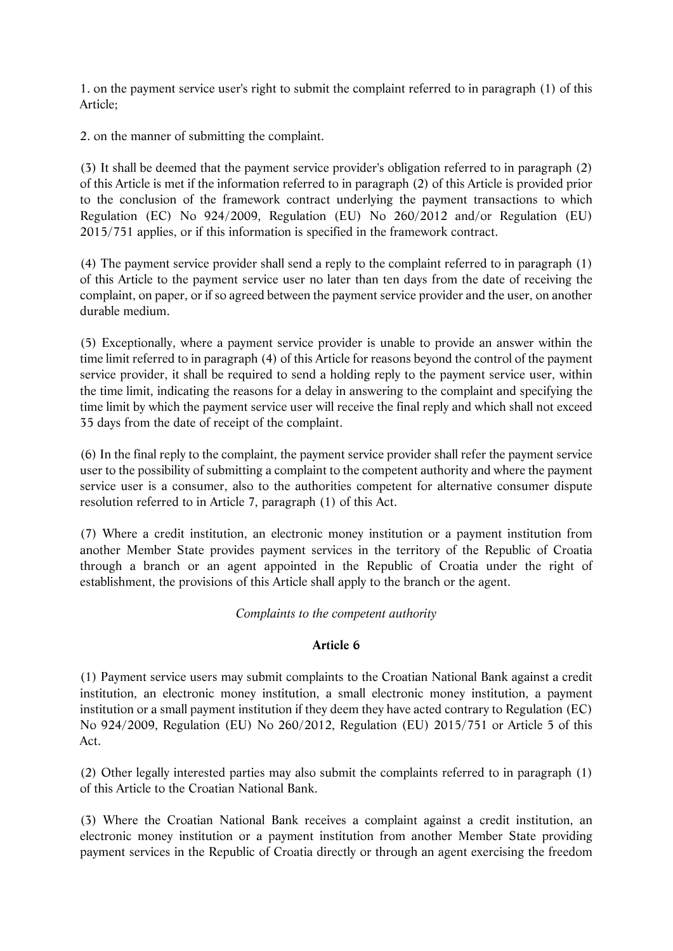1. on the payment service user's right to submit the complaint referred to in paragraph (1) of this Article;

2. on the manner of submitting the complaint.

(3) It shall be deemed that the payment service provider's obligation referred to in paragraph (2) of this Article is met if the information referred to in paragraph (2) of this Article is provided prior to the conclusion of the framework contract underlying the payment transactions to which Regulation (EC) No 924/2009, Regulation (EU) No 260/2012 and/or Regulation (EU) 2015/751 applies, or if this information is specified in the framework contract.

(4) The payment service provider shall send a reply to the complaint referred to in paragraph (1) of this Article to the payment service user no later than ten days from the date of receiving the complaint, on paper, or if so agreed between the payment service provider and the user, on another durable medium.

(5) Exceptionally, where a payment service provider is unable to provide an answer within the time limit referred to in paragraph (4) of this Article for reasons beyond the control of the payment service provider, it shall be required to send a holding reply to the payment service user, within the time limit, indicating the reasons for a delay in answering to the complaint and specifying the time limit by which the payment service user will receive the final reply and which shall not exceed 35 days from the date of receipt of the complaint.

(6) In the final reply to the complaint, the payment service provider shall refer the payment service user to the possibility of submitting a complaint to the competent authority and where the payment service user is a consumer, also to the authorities competent for alternative consumer dispute resolution referred to in Article 7, paragraph (1) of this Act.

(7) Where a credit institution, an electronic money institution or a payment institution from another Member State provides payment services in the territory of the Republic of Croatia through a branch or an agent appointed in the Republic of Croatia under the right of establishment, the provisions of this Article shall apply to the branch or the agent.

# *Complaints to the competent authority*

# **Article 6**

(1) Payment service users may submit complaints to the Croatian National Bank against a credit institution, an electronic money institution, a small electronic money institution, a payment institution or a small payment institution if they deem they have acted contrary to Regulation (EC) No 924/2009, Regulation (EU) No 260/2012, Regulation (EU) 2015/751 or Article 5 of this Act.

(2) Other legally interested parties may also submit the complaints referred to in paragraph (1) of this Article to the Croatian National Bank.

(3) Where the Croatian National Bank receives a complaint against a credit institution, an electronic money institution or a payment institution from another Member State providing payment services in the Republic of Croatia directly or through an agent exercising the freedom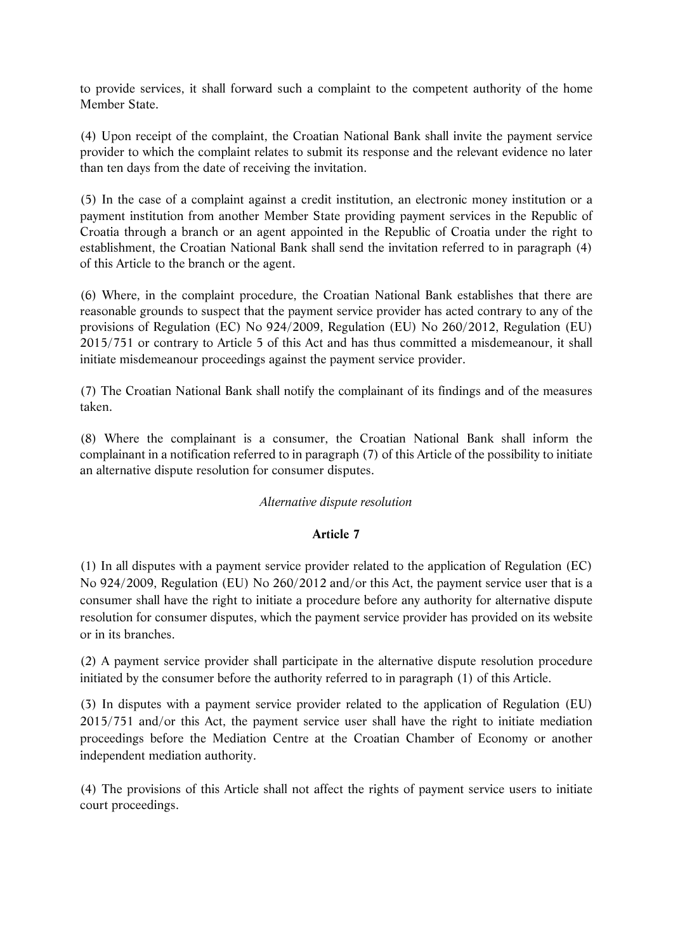to provide services, it shall forward such a complaint to the competent authority of the home Member State.

(4) Upon receipt of the complaint, the Croatian National Bank shall invite the payment service provider to which the complaint relates to submit its response and the relevant evidence no later than ten days from the date of receiving the invitation.

(5) In the case of a complaint against a credit institution, an electronic money institution or a payment institution from another Member State providing payment services in the Republic of Croatia through a branch or an agent appointed in the Republic of Croatia under the right to establishment, the Croatian National Bank shall send the invitation referred to in paragraph (4) of this Article to the branch or the agent.

(6) Where, in the complaint procedure, the Croatian National Bank establishes that there are reasonable grounds to suspect that the payment service provider has acted contrary to any of the provisions of Regulation (EC) No 924/2009, Regulation (EU) No 260/2012, Regulation (EU) 2015/751 or contrary to Article 5 of this Act and has thus committed a misdemeanour, it shall initiate misdemeanour proceedings against the payment service provider.

(7) The Croatian National Bank shall notify the complainant of its findings and of the measures taken.

(8) Where the complainant is a consumer, the Croatian National Bank shall inform the complainant in a notification referred to in paragraph (7) of this Article of the possibility to initiate an alternative dispute resolution for consumer disputes.

# *Alternative dispute resolution*

# **Article 7**

(1) In all disputes with a payment service provider related to the application of Regulation (EC) No 924/2009, Regulation (EU) No 260/2012 and/or this Act, the payment service user that is a consumer shall have the right to initiate a procedure before any authority for alternative dispute resolution for consumer disputes, which the payment service provider has provided on its website or in its branches.

(2) A payment service provider shall participate in the alternative dispute resolution procedure initiated by the consumer before the authority referred to in paragraph (1) of this Article.

(3) In disputes with a payment service provider related to the application of Regulation (EU) 2015/751 and/or this Act, the payment service user shall have the right to initiate mediation proceedings before the Mediation Centre at the Croatian Chamber of Economy or another independent mediation authority.

(4) The provisions of this Article shall not affect the rights of payment service users to initiate court proceedings.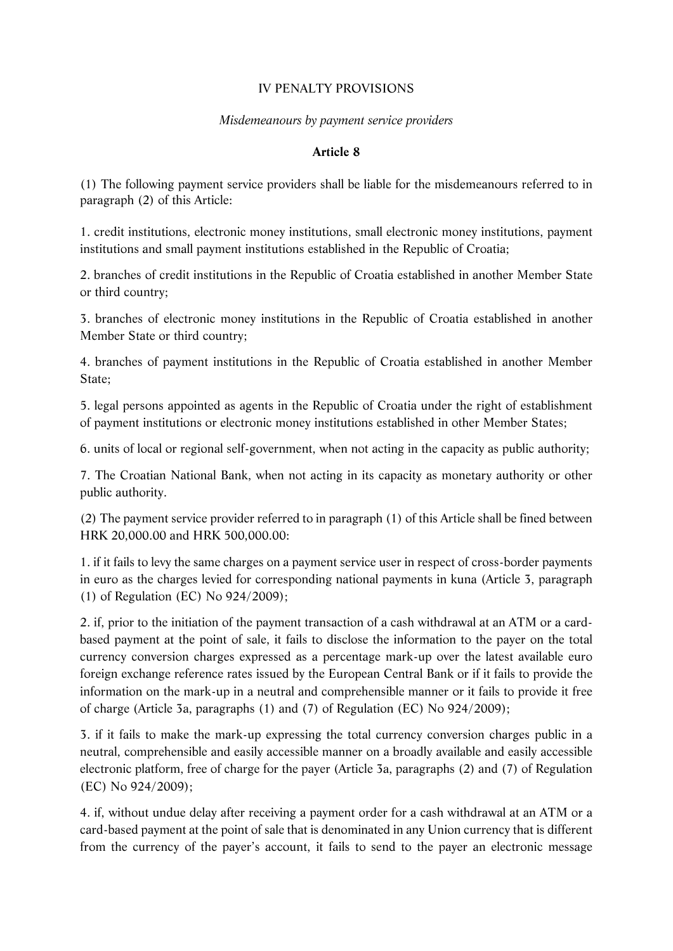# IV PENALTY PROVISIONS

# *Misdemeanours by payment service providers*

# **Article 8**

(1) The following payment service providers shall be liable for the misdemeanours referred to in paragraph (2) of this Article:

1. credit institutions, electronic money institutions, small electronic money institutions, payment institutions and small payment institutions established in the Republic of Croatia;

2. branches of credit institutions in the Republic of Croatia established in another Member State or third country;

3. branches of electronic money institutions in the Republic of Croatia established in another Member State or third country;

4. branches of payment institutions in the Republic of Croatia established in another Member State;

5. legal persons appointed as agents in the Republic of Croatia under the right of establishment of payment institutions or electronic money institutions established in other Member States;

6. units of local or regional self-government, when not acting in the capacity as public authority;

7. The Croatian National Bank, when not acting in its capacity as monetary authority or other public authority.

(2) The payment service provider referred to in paragraph (1) of this Article shall be fined between HRK 20,000.00 and HRK 500,000.00:

1. if it fails to levy the same charges on a payment service user in respect of cross-border payments in euro as the charges levied for corresponding national payments in kuna (Article 3, paragraph (1) of Regulation (EC) No 924/2009);

2. if, prior to the initiation of the payment transaction of a cash withdrawal at an ATM or a cardbased payment at the point of sale, it fails to disclose the information to the payer on the total currency conversion charges expressed as a percentage mark-up over the latest available euro foreign exchange reference rates issued by the European Central Bank or if it fails to provide the information on the mark-up in a neutral and comprehensible manner or it fails to provide it free of charge (Article 3a, paragraphs (1) and (7) of Regulation (EC) No 924/2009);

3. if it fails to make the mark-up expressing the total currency conversion charges public in a neutral, comprehensible and easily accessible manner on a broadly available and easily accessible electronic platform, free of charge for the payer (Article 3a, paragraphs (2) and (7) of Regulation (EC) No 924/2009);

4. if, without undue delay after receiving a payment order for a cash withdrawal at an ATM or a card-based payment at the point of sale that is denominated in any Union currency that is different from the currency of the payer's account, it fails to send to the payer an electronic message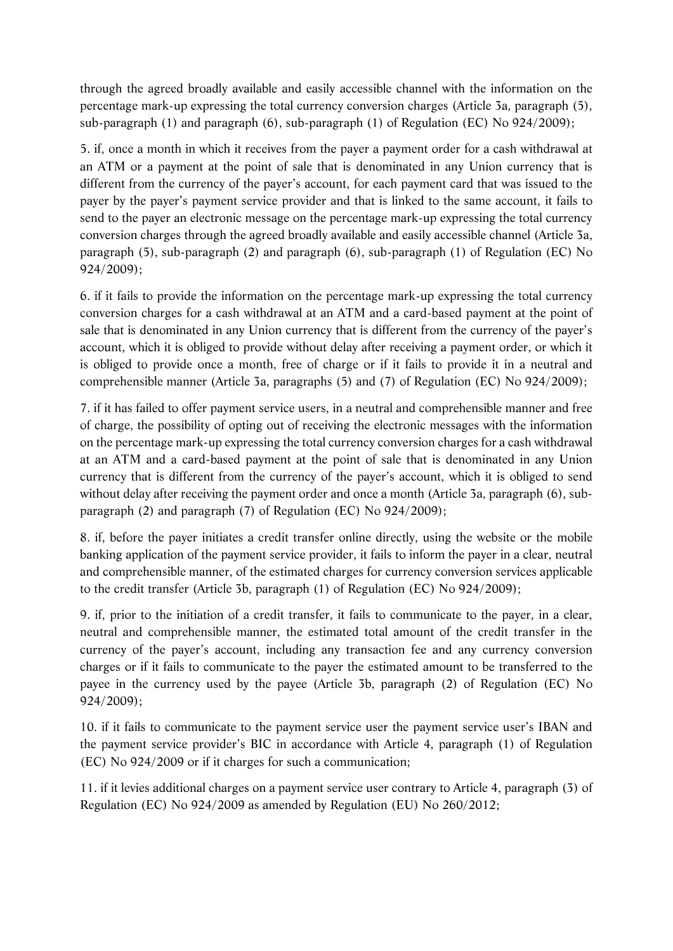through the agreed broadly available and easily accessible channel with the information on the percentage mark-up expressing the total currency conversion charges (Article 3a, paragraph (5), sub-paragraph (1) and paragraph (6), sub-paragraph (1) of Regulation (EC) No 924/2009);

5. if, once a month in which it receives from the payer a payment order for a cash withdrawal at an ATM or a payment at the point of sale that is denominated in any Union currency that is different from the currency of the payer's account, for each payment card that was issued to the payer by the payer's payment service provider and that is linked to the same account, it fails to send to the payer an electronic message on the percentage mark-up expressing the total currency conversion charges through the agreed broadly available and easily accessible channel (Article 3a, paragraph (5), sub-paragraph (2) and paragraph (6), sub-paragraph (1) of Regulation (EC) No 924/2009);

6. if it fails to provide the information on the percentage mark-up expressing the total currency conversion charges for a cash withdrawal at an ATM and a card-based payment at the point of sale that is denominated in any Union currency that is different from the currency of the payer's account, which it is obliged to provide without delay after receiving a payment order, or which it is obliged to provide once a month, free of charge or if it fails to provide it in a neutral and comprehensible manner (Article 3a, paragraphs (5) and (7) of Regulation (EC) No 924/2009);

7. if it has failed to offer payment service users, in a neutral and comprehensible manner and free of charge, the possibility of opting out of receiving the electronic messages with the information on the percentage mark-up expressing the total currency conversion charges for a cash withdrawal at an ATM and a card-based payment at the point of sale that is denominated in any Union currency that is different from the currency of the payer's account, which it is obliged to send without delay after receiving the payment order and once a month (Article 3a, paragraph (6), subparagraph (2) and paragraph (7) of Regulation (EC) No 924/2009);

8. if, before the payer initiates a credit transfer online directly, using the website or the mobile banking application of the payment service provider, it fails to inform the payer in a clear, neutral and comprehensible manner, of the estimated charges for currency conversion services applicable to the credit transfer (Article 3b, paragraph (1) of Regulation (EC) No 924/2009);

9. if, prior to the initiation of a credit transfer, it fails to communicate to the payer, in a clear, neutral and comprehensible manner, the estimated total amount of the credit transfer in the currency of the payer's account, including any transaction fee and any currency conversion charges or if it fails to communicate to the payer the estimated amount to be transferred to the payee in the currency used by the payee (Article 3b, paragraph (2) of Regulation (EC) No 924/2009);

10. if it fails to communicate to the payment service user the payment service user's IBAN and the payment service provider's BIC in accordance with Article 4, paragraph (1) of Regulation (EC) No 924/2009 or if it charges for such a communication;

11. if it levies additional charges on a payment service user contrary to Article 4, paragraph (3) of Regulation (EC) No 924/2009 as amended by Regulation (EU) No 260/2012;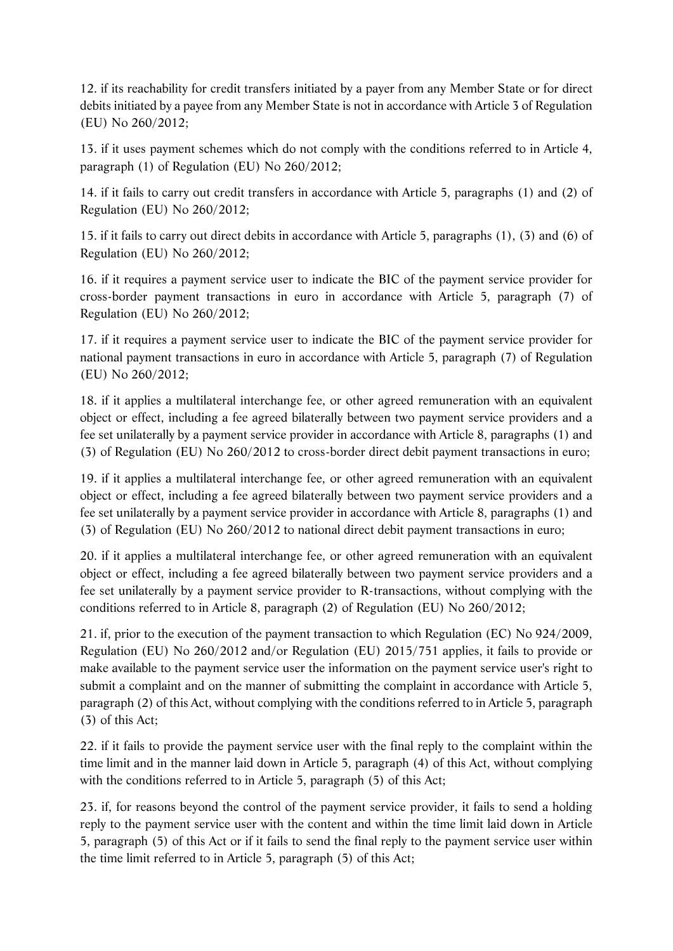12. if its reachability for credit transfers initiated by a payer from any Member State or for direct debits initiated by a payee from any Member State is not in accordance with Article 3 of Regulation (EU) No 260/2012;

13. if it uses payment schemes which do not comply with the conditions referred to in Article 4, paragraph (1) of Regulation (EU) No 260/2012;

14. if it fails to carry out credit transfers in accordance with Article 5, paragraphs (1) and (2) of Regulation (EU) No 260/2012;

15. if it fails to carry out direct debits in accordance with Article 5, paragraphs (1), (3) and (6) of Regulation (EU) No 260/2012;

16. if it requires a payment service user to indicate the BIC of the payment service provider for cross-border payment transactions in euro in accordance with Article 5, paragraph (7) of Regulation (EU) No 260/2012;

17. if it requires a payment service user to indicate the BIC of the payment service provider for national payment transactions in euro in accordance with Article 5, paragraph (7) of Regulation (EU) No 260/2012;

18. if it applies a multilateral interchange fee, or other agreed remuneration with an equivalent object or effect, including a fee agreed bilaterally between two payment service providers and a fee set unilaterally by a payment service provider in accordance with Article 8, paragraphs (1) and (3) of Regulation (EU) No 260/2012 to cross-border direct debit payment transactions in euro;

19. if it applies a multilateral interchange fee, or other agreed remuneration with an equivalent object or effect, including a fee agreed bilaterally between two payment service providers and a fee set unilaterally by a payment service provider in accordance with Article 8, paragraphs (1) and (3) of Regulation (EU) No 260/2012 to national direct debit payment transactions in euro;

20. if it applies a multilateral interchange fee, or other agreed remuneration with an equivalent object or effect, including a fee agreed bilaterally between two payment service providers and a fee set unilaterally by a payment service provider to R-transactions, without complying with the conditions referred to in Article 8, paragraph (2) of Regulation (EU) No 260/2012;

21. if, prior to the execution of the payment transaction to which Regulation (EC) No 924/2009, Regulation (EU) No 260/2012 and/or Regulation (EU) 2015/751 applies, it fails to provide or make available to the payment service user the information on the payment service user's right to submit a complaint and on the manner of submitting the complaint in accordance with Article 5, paragraph (2) of this Act, without complying with the conditions referred to in Article 5, paragraph (3) of this Act;

22. if it fails to provide the payment service user with the final reply to the complaint within the time limit and in the manner laid down in Article 5, paragraph (4) of this Act, without complying with the conditions referred to in Article 5, paragraph (5) of this Act;

23. if, for reasons beyond the control of the payment service provider, it fails to send a holding reply to the payment service user with the content and within the time limit laid down in Article 5, paragraph (5) of this Act or if it fails to send the final reply to the payment service user within the time limit referred to in Article 5, paragraph (5) of this Act;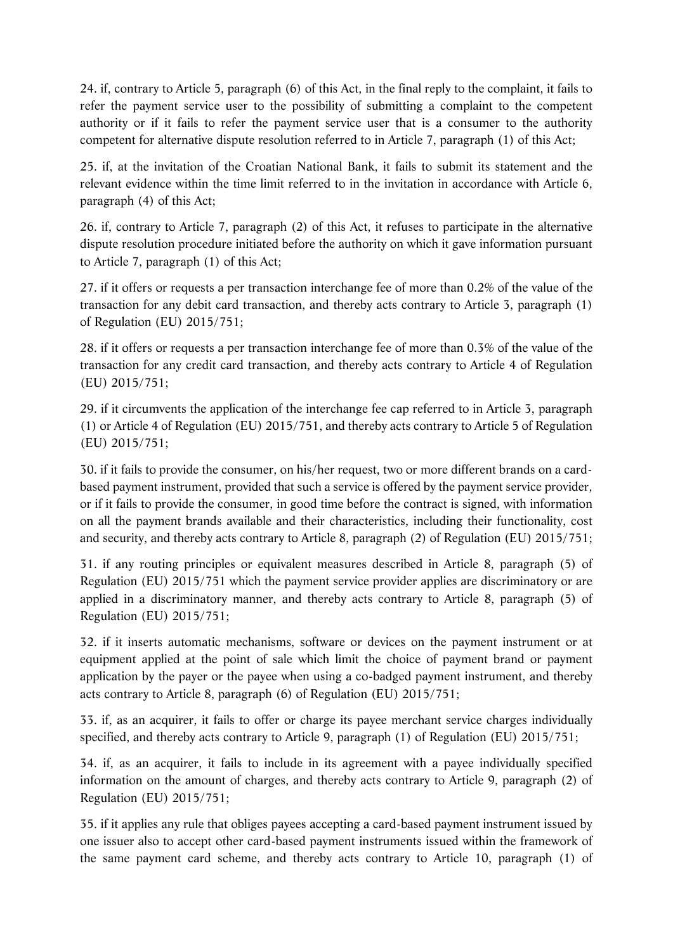24. if, contrary to Article 5, paragraph (6) of this Act, in the final reply to the complaint, it fails to refer the payment service user to the possibility of submitting a complaint to the competent authority or if it fails to refer the payment service user that is a consumer to the authority competent for alternative dispute resolution referred to in Article 7, paragraph (1) of this Act;

25. if, at the invitation of the Croatian National Bank, it fails to submit its statement and the relevant evidence within the time limit referred to in the invitation in accordance with Article 6, paragraph (4) of this Act;

26. if, contrary to Article 7, paragraph (2) of this Act, it refuses to participate in the alternative dispute resolution procedure initiated before the authority on which it gave information pursuant to Article 7, paragraph (1) of this Act;

27. if it offers or requests a per transaction interchange fee of more than 0.2% of the value of the transaction for any debit card transaction, and thereby acts contrary to Article 3, paragraph (1) of Regulation (EU) 2015/751;

28. if it offers or requests a per transaction interchange fee of more than 0.3% of the value of the transaction for any credit card transaction, and thereby acts contrary to Article 4 of Regulation (EU) 2015/751;

29. if it circumvents the application of the interchange fee cap referred to in Article 3, paragraph (1) or Article 4 of Regulation (EU) 2015/751, and thereby acts contrary to Article 5 of Regulation (EU) 2015/751;

30. if it fails to provide the consumer, on his/her request, two or more different brands on a cardbased payment instrument, provided that such a service is offered by the payment service provider, or if it fails to provide the consumer, in good time before the contract is signed, with information on all the payment brands available and their characteristics, including their functionality, cost and security, and thereby acts contrary to Article 8, paragraph (2) of Regulation (EU) 2015/751;

31. if any routing principles or equivalent measures described in Article 8, paragraph (5) of Regulation (EU) 2015/751 which the payment service provider applies are discriminatory or are applied in a discriminatory manner, and thereby acts contrary to Article 8, paragraph (5) of Regulation (EU) 2015/751;

32. if it inserts automatic mechanisms, software or devices on the payment instrument or at equipment applied at the point of sale which limit the choice of payment brand or payment application by the payer or the payee when using a co-badged payment instrument, and thereby acts contrary to Article 8, paragraph (6) of Regulation (EU) 2015/751;

33. if, as an acquirer, it fails to offer or charge its payee merchant service charges individually specified, and thereby acts contrary to Article 9, paragraph (1) of Regulation (EU) 2015/751;

34. if, as an acquirer, it fails to include in its agreement with a payee individually specified information on the amount of charges, and thereby acts contrary to Article 9, paragraph (2) of Regulation (EU) 2015/751;

35. if it applies any rule that obliges payees accepting a card-based payment instrument issued by one issuer also to accept other card-based payment instruments issued within the framework of the same payment card scheme, and thereby acts contrary to Article 10, paragraph (1) of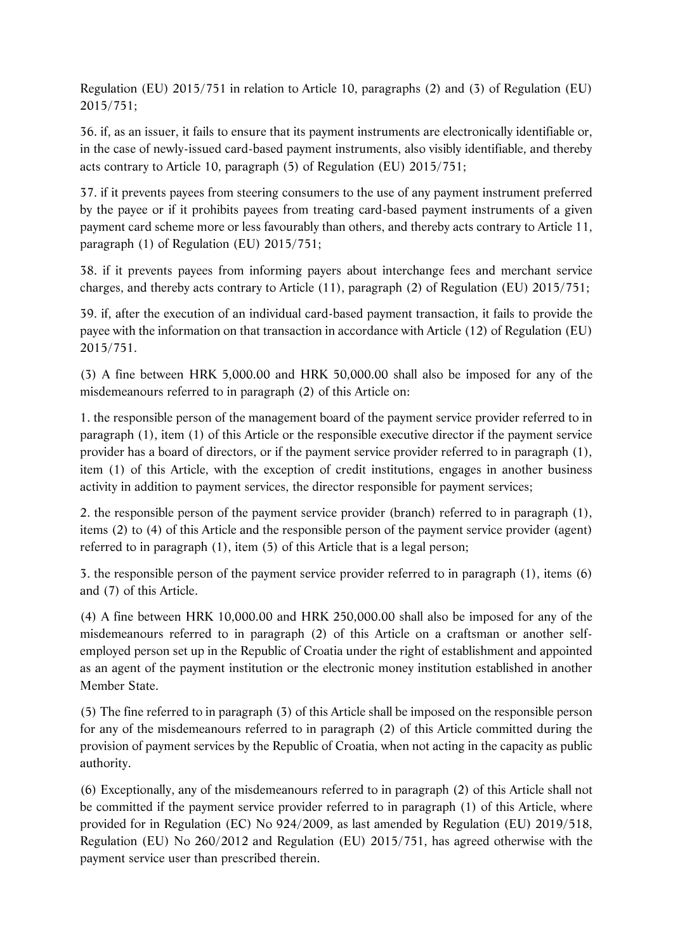Regulation (EU) 2015/751 in relation to Article 10, paragraphs (2) and (3) of Regulation (EU) 2015/751;

36. if, as an issuer, it fails to ensure that its payment instruments are electronically identifiable or, in the case of newly-issued card-based payment instruments, also visibly identifiable, and thereby acts contrary to Article 10, paragraph (5) of Regulation (EU) 2015/751;

37. if it prevents payees from steering consumers to the use of any payment instrument preferred by the payee or if it prohibits payees from treating card-based payment instruments of a given payment card scheme more or less favourably than others, and thereby acts contrary to Article 11, paragraph (1) of Regulation (EU) 2015/751;

38. if it prevents payees from informing payers about interchange fees and merchant service charges, and thereby acts contrary to Article (11), paragraph (2) of Regulation (EU) 2015/751;

39. if, after the execution of an individual card-based payment transaction, it fails to provide the payee with the information on that transaction in accordance with Article (12) of Regulation (EU) 2015/751.

(3) A fine between HRK 5,000.00 and HRK 50,000.00 shall also be imposed for any of the misdemeanours referred to in paragraph (2) of this Article on:

1. the responsible person of the management board of the payment service provider referred to in paragraph (1), item (1) of this Article or the responsible executive director if the payment service provider has a board of directors, or if the payment service provider referred to in paragraph (1), item (1) of this Article, with the exception of credit institutions, engages in another business activity in addition to payment services, the director responsible for payment services;

2. the responsible person of the payment service provider (branch) referred to in paragraph (1), items (2) to (4) of this Article and the responsible person of the payment service provider (agent) referred to in paragraph (1), item (5) of this Article that is a legal person;

3. the responsible person of the payment service provider referred to in paragraph (1), items (6) and (7) of this Article.

(4) A fine between HRK 10,000.00 and HRK 250,000.00 shall also be imposed for any of the misdemeanours referred to in paragraph (2) of this Article on a craftsman or another selfemployed person set up in the Republic of Croatia under the right of establishment and appointed as an agent of the payment institution or the electronic money institution established in another Member State.

(5) The fine referred to in paragraph (3) of this Article shall be imposed on the responsible person for any of the misdemeanours referred to in paragraph (2) of this Article committed during the provision of payment services by the Republic of Croatia, when not acting in the capacity as public authority.

(6) Exceptionally, any of the misdemeanours referred to in paragraph (2) of this Article shall not be committed if the payment service provider referred to in paragraph (1) of this Article, where provided for in Regulation (EC) No 924/2009, as last amended by Regulation (EU) 2019/518, Regulation (EU) No 260/2012 and Regulation (EU) 2015/751, has agreed otherwise with the payment service user than prescribed therein.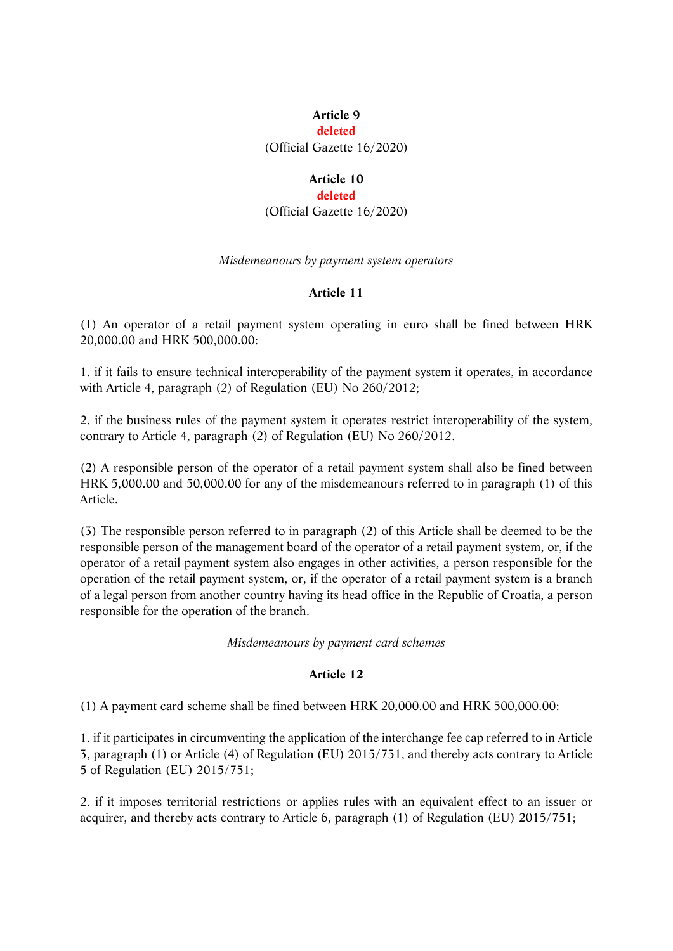## **Article 9**

#### **deleted**

(Official Gazette 16/2020)

# **Article 10**

### **deleted**

(Official Gazette 16/2020)

### *Misdemeanours by payment system operators*

### **Article 11**

(1) An operator of a retail payment system operating in euro shall be fined between HRK 20,000.00 and HRK 500,000.00:

1. if it fails to ensure technical interoperability of the payment system it operates, in accordance with Article 4, paragraph (2) of Regulation (EU) No 260/2012;

2. if the business rules of the payment system it operates restrict interoperability of the system, contrary to Article 4, paragraph (2) of Regulation (EU) No 260/2012.

(2) A responsible person of the operator of a retail payment system shall also be fined between HRK 5,000.00 and 50,000.00 for any of the misdemeanours referred to in paragraph (1) of this Article.

(3) The responsible person referred to in paragraph (2) of this Article shall be deemed to be the responsible person of the management board of the operator of a retail payment system, or, if the operator of a retail payment system also engages in other activities, a person responsible for the operation of the retail payment system, or, if the operator of a retail payment system is a branch of a legal person from another country having its head office in the Republic of Croatia, a person responsible for the operation of the branch.

*Misdemeanours by payment card schemes* 

# **Article 12**

(1) A payment card scheme shall be fined between HRK 20,000.00 and HRK 500,000.00:

1. if it participates in circumventing the application of the interchange fee cap referred to in Article 3, paragraph (1) or Article (4) of Regulation (EU) 2015/751, and thereby acts contrary to Article 5 of Regulation (EU) 2015/751;

2. if it imposes territorial restrictions or applies rules with an equivalent effect to an issuer or acquirer, and thereby acts contrary to Article 6, paragraph (1) of Regulation (EU) 2015/751;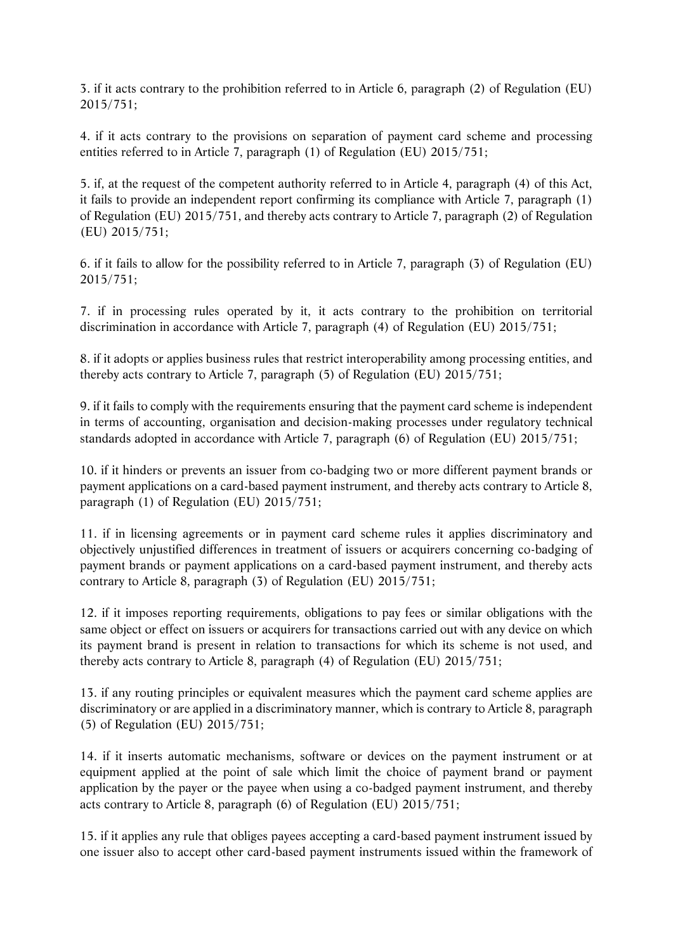3. if it acts contrary to the prohibition referred to in Article 6, paragraph (2) of Regulation (EU) 2015/751;

4. if it acts contrary to the provisions on separation of payment card scheme and processing entities referred to in Article 7, paragraph (1) of Regulation (EU) 2015/751;

5. if, at the request of the competent authority referred to in Article 4, paragraph (4) of this Act, it fails to provide an independent report confirming its compliance with Article 7, paragraph (1) of Regulation (EU) 2015/751, and thereby acts contrary to Article 7, paragraph (2) of Regulation (EU) 2015/751;

6. if it fails to allow for the possibility referred to in Article 7, paragraph (3) of Regulation (EU) 2015/751;

7. if in processing rules operated by it, it acts contrary to the prohibition on territorial discrimination in accordance with Article 7, paragraph (4) of Regulation (EU) 2015/751;

8. if it adopts or applies business rules that restrict interoperability among processing entities, and thereby acts contrary to Article 7, paragraph (5) of Regulation (EU) 2015/751;

9. if it fails to comply with the requirements ensuring that the payment card scheme is independent in terms of accounting, organisation and decision-making processes under regulatory technical standards adopted in accordance with Article 7, paragraph (6) of Regulation (EU) 2015/751;

10. if it hinders or prevents an issuer from co-badging two or more different payment brands or payment applications on a card-based payment instrument, and thereby acts contrary to Article 8, paragraph (1) of Regulation (EU) 2015/751;

11. if in licensing agreements or in payment card scheme rules it applies discriminatory and objectively unjustified differences in treatment of issuers or acquirers concerning co-badging of payment brands or payment applications on a card-based payment instrument, and thereby acts contrary to Article 8, paragraph (3) of Regulation (EU) 2015/751;

12. if it imposes reporting requirements, obligations to pay fees or similar obligations with the same object or effect on issuers or acquirers for transactions carried out with any device on which its payment brand is present in relation to transactions for which its scheme is not used, and thereby acts contrary to Article 8, paragraph (4) of Regulation (EU) 2015/751;

13. if any routing principles or equivalent measures which the payment card scheme applies are discriminatory or are applied in a discriminatory manner, which is contrary to Article 8, paragraph (5) of Regulation (EU) 2015/751;

14. if it inserts automatic mechanisms, software or devices on the payment instrument or at equipment applied at the point of sale which limit the choice of payment brand or payment application by the payer or the payee when using a co-badged payment instrument, and thereby acts contrary to Article 8, paragraph (6) of Regulation (EU) 2015/751;

15. if it applies any rule that obliges payees accepting a card-based payment instrument issued by one issuer also to accept other card-based payment instruments issued within the framework of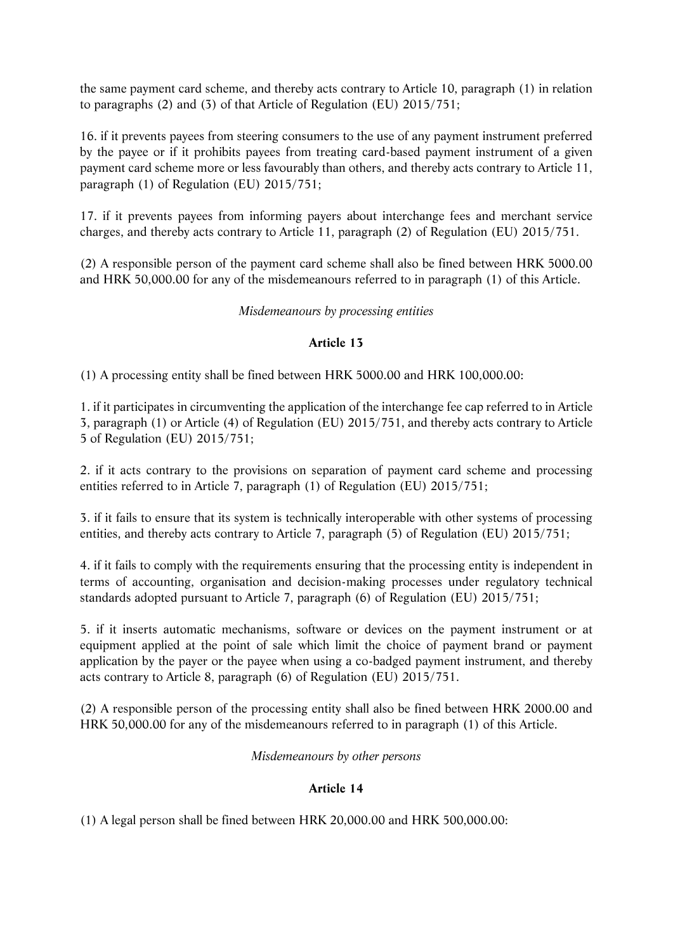the same payment card scheme, and thereby acts contrary to Article 10, paragraph (1) in relation to paragraphs (2) and (3) of that Article of Regulation (EU) 2015/751;

16. if it prevents payees from steering consumers to the use of any payment instrument preferred by the payee or if it prohibits payees from treating card-based payment instrument of a given payment card scheme more or less favourably than others, and thereby acts contrary to Article 11, paragraph (1) of Regulation (EU) 2015/751;

17. if it prevents payees from informing payers about interchange fees and merchant service charges, and thereby acts contrary to Article 11, paragraph (2) of Regulation (EU) 2015/751.

(2) A responsible person of the payment card scheme shall also be fined between HRK 5000.00 and HRK 50,000.00 for any of the misdemeanours referred to in paragraph (1) of this Article.

# *Misdemeanours by processing entities*

# **Article 13**

(1) A processing entity shall be fined between HRK 5000.00 and HRK 100,000.00:

1. if it participates in circumventing the application of the interchange fee cap referred to in Article 3, paragraph (1) or Article (4) of Regulation (EU) 2015/751, and thereby acts contrary to Article 5 of Regulation (EU) 2015/751;

2. if it acts contrary to the provisions on separation of payment card scheme and processing entities referred to in Article 7, paragraph (1) of Regulation (EU) 2015/751;

3. if it fails to ensure that its system is technically interoperable with other systems of processing entities, and thereby acts contrary to Article 7, paragraph (5) of Regulation (EU) 2015/751;

4. if it fails to comply with the requirements ensuring that the processing entity is independent in terms of accounting, organisation and decision-making processes under regulatory technical standards adopted pursuant to Article 7, paragraph (6) of Regulation (EU) 2015/751;

5. if it inserts automatic mechanisms, software or devices on the payment instrument or at equipment applied at the point of sale which limit the choice of payment brand or payment application by the payer or the payee when using a co-badged payment instrument, and thereby acts contrary to Article 8, paragraph (6) of Regulation (EU) 2015/751.

(2) A responsible person of the processing entity shall also be fined between HRK 2000.00 and HRK 50,000.00 for any of the misdemeanours referred to in paragraph (1) of this Article.

*Misdemeanours by other persons* 

# **Article 14**

(1) A legal person shall be fined between HRK 20,000.00 and HRK 500,000.00: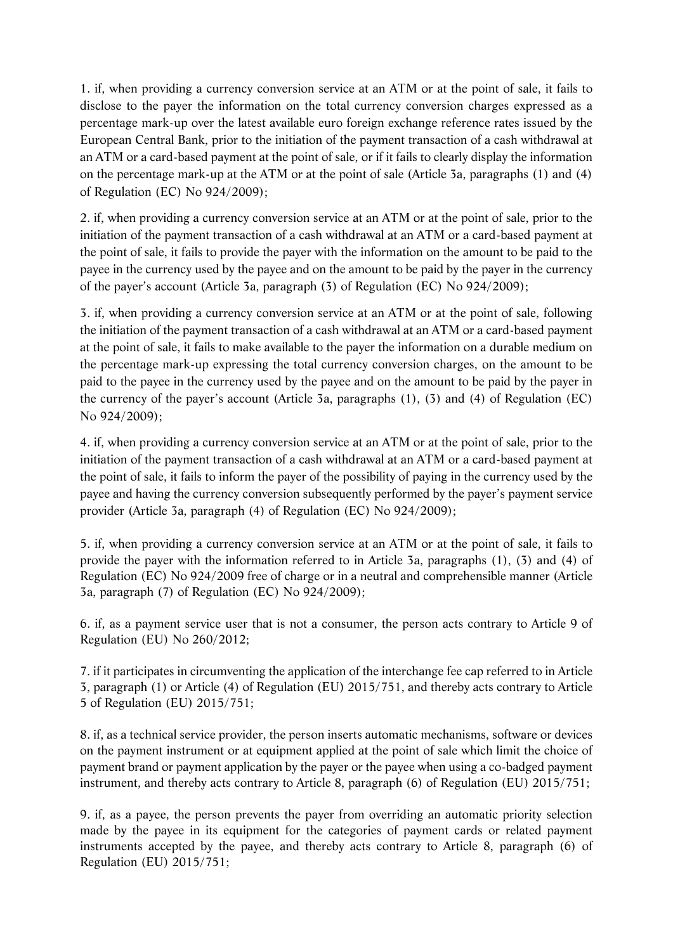1. if, when providing a currency conversion service at an ATM or at the point of sale, it fails to disclose to the payer the information on the total currency conversion charges expressed as a percentage mark-up over the latest available euro foreign exchange reference rates issued by the European Central Bank, prior to the initiation of the payment transaction of a cash withdrawal at an ATM or a card-based payment at the point of sale, or if it fails to clearly display the information on the percentage mark-up at the ATM or at the point of sale (Article 3a, paragraphs (1) and (4) of Regulation (EC) No 924/2009);

2. if, when providing a currency conversion service at an ATM or at the point of sale, prior to the initiation of the payment transaction of a cash withdrawal at an ATM or a card-based payment at the point of sale, it fails to provide the payer with the information on the amount to be paid to the payee in the currency used by the payee and on the amount to be paid by the payer in the currency of the payer's account (Article 3a, paragraph (3) of Regulation (EC) No 924/2009);

3. if, when providing a currency conversion service at an ATM or at the point of sale, following the initiation of the payment transaction of a cash withdrawal at an ATM or a card-based payment at the point of sale, it fails to make available to the payer the information on a durable medium on the percentage mark-up expressing the total currency conversion charges, on the amount to be paid to the payee in the currency used by the payee and on the amount to be paid by the payer in the currency of the payer's account (Article 3a, paragraphs (1), (3) and (4) of Regulation (EC) No 924/2009);

4. if, when providing a currency conversion service at an ATM or at the point of sale, prior to the initiation of the payment transaction of a cash withdrawal at an ATM or a card-based payment at the point of sale, it fails to inform the payer of the possibility of paying in the currency used by the payee and having the currency conversion subsequently performed by the payer's payment service provider (Article 3a, paragraph (4) of Regulation (EC) No 924/2009);

5. if, when providing a currency conversion service at an ATM or at the point of sale, it fails to provide the payer with the information referred to in Article 3a, paragraphs (1), (3) and (4) of Regulation (EC) No 924/2009 free of charge or in a neutral and comprehensible manner (Article 3a, paragraph (7) of Regulation (EC) No 924/2009);

6. if, as a payment service user that is not a consumer, the person acts contrary to Article 9 of Regulation (EU) No 260/2012;

7. if it participates in circumventing the application of the interchange fee cap referred to in Article 3, paragraph (1) or Article (4) of Regulation (EU) 2015/751, and thereby acts contrary to Article 5 of Regulation (EU) 2015/751;

8. if, as a technical service provider, the person inserts automatic mechanisms, software or devices on the payment instrument or at equipment applied at the point of sale which limit the choice of payment brand or payment application by the payer or the payee when using a co-badged payment instrument, and thereby acts contrary to Article 8, paragraph (6) of Regulation (EU) 2015/751;

9. if, as a payee, the person prevents the payer from overriding an automatic priority selection made by the payee in its equipment for the categories of payment cards or related payment instruments accepted by the payee, and thereby acts contrary to Article 8, paragraph (6) of Regulation (EU) 2015/751;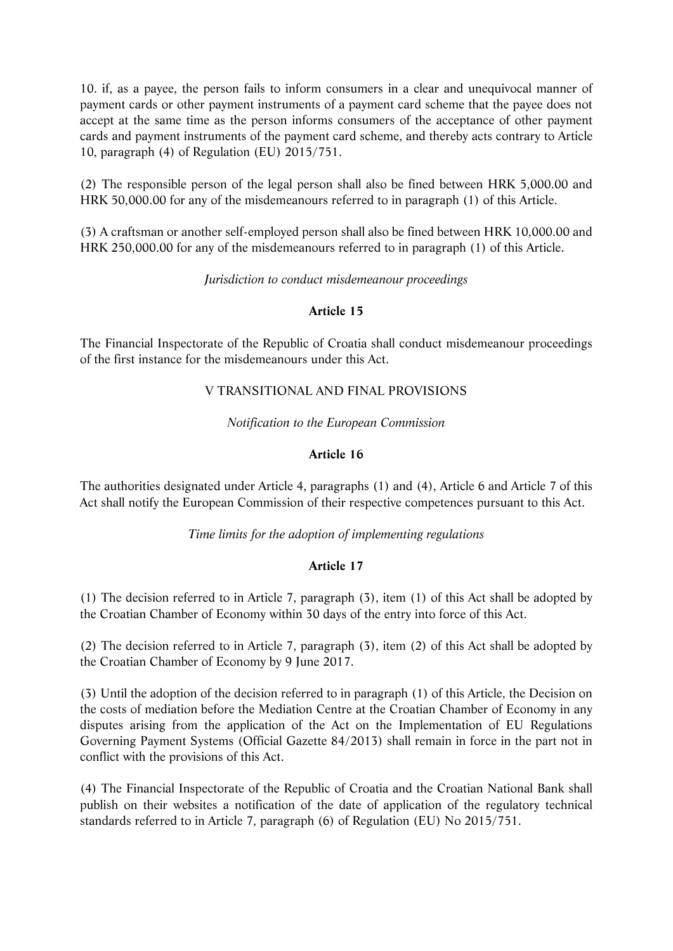10. if, as a payee, the person fails to inform consumers in a clear and unequivocal manner of payment cards or other payment instruments of a payment card scheme that the payee does not accept at the same time as the person informs consumers of the acceptance of other payment cards and payment instruments of the payment card scheme, and thereby acts contrary to Article 10, paragraph (4) of Regulation (EU) 2015/751.

(2) The responsible person of the legal person shall also be fined between HRK 5,000.00 and HRK 50,000.00 for any of the misdemeanours referred to in paragraph (1) of this Article.

(3) A craftsman or another self-employed person shall also be fined between HRK 10,000.00 and HRK 250,000.00 for any of the misdemeanours referred to in paragraph (1) of this Article.

*Jurisdiction to conduct misdemeanour proceedings* 

# **Article 15**

The Financial Inspectorate of the Republic of Croatia shall conduct misdemeanour proceedings of the first instance for the misdemeanours under this Act.

# V TRANSITIONAL AND FINAL PROVISIONS

*Notification to the European Commission*

# **Article 16**

The authorities designated under Article 4, paragraphs (1) and (4), Article 6 and Article 7 of this Act shall notify the European Commission of their respective competences pursuant to this Act.

*Time limits for the adoption of implementing regulations* 

# **Article 17**

(1) The decision referred to in Article 7, paragraph (3), item (1) of this Act shall be adopted by the Croatian Chamber of Economy within 30 days of the entry into force of this Act.

(2) The decision referred to in Article 7, paragraph (3), item (2) of this Act shall be adopted by the Croatian Chamber of Economy by 9 June 2017.

(3) Until the adoption of the decision referred to in paragraph (1) of this Article, the Decision on the costs of mediation before the Mediation Centre at the Croatian Chamber of Economy in any disputes arising from the application of the Act on the Implementation of EU Regulations Governing Payment Systems (Official Gazette 84/2013) shall remain in force in the part not in conflict with the provisions of this Act.

(4) The Financial Inspectorate of the Republic of Croatia and the Croatian National Bank shall publish on their websites a notification of the date of application of the regulatory technical standards referred to in Article 7, paragraph (6) of Regulation (EU) No 2015/751.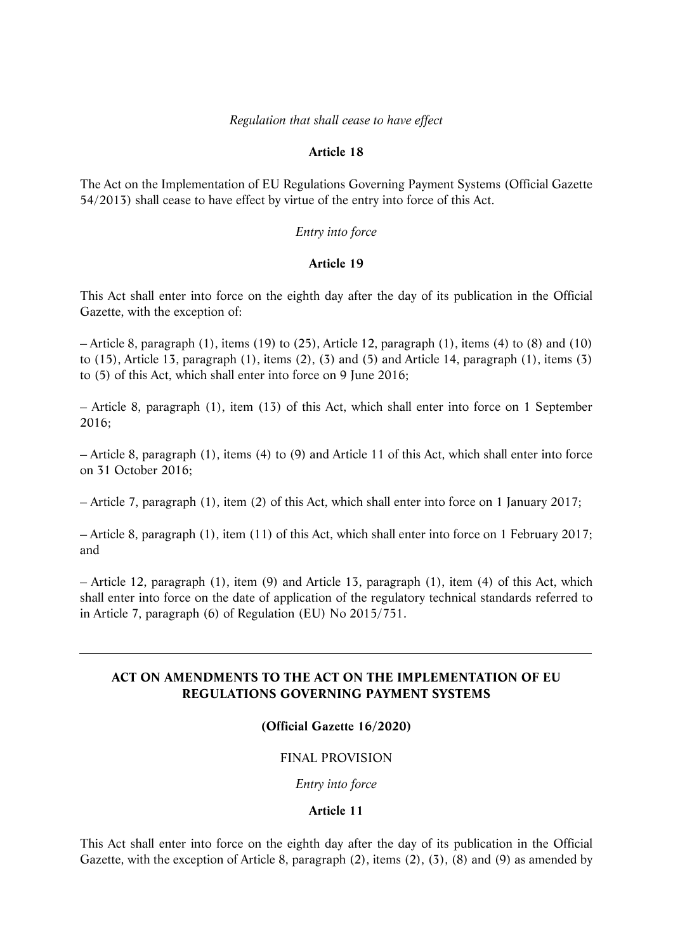### *Regulation that shall cease to have effect*

### **Article 18**

The Act on the Implementation of EU Regulations Governing Payment Systems (Official Gazette 54/2013) shall cease to have effect by virtue of the entry into force of this Act.

## *Entry into force*

### **Article 19**

This Act shall enter into force on the eighth day after the day of its publication in the Official Gazette, with the exception of:

– Article 8, paragraph (1), items (19) to (25), Article 12, paragraph (1), items (4) to (8) and (10) to (15), Article 13, paragraph (1), items (2), (3) and (5) and Article 14, paragraph (1), items (3) to (5) of this Act, which shall enter into force on 9 June 2016;

– Article 8, paragraph (1), item (13) of this Act, which shall enter into force on 1 September 2016;

– Article 8, paragraph (1), items (4) to (9) and Article 11 of this Act, which shall enter into force on 31 October 2016;

– Article 7, paragraph (1), item (2) of this Act, which shall enter into force on 1 January 2017;

– Article 8, paragraph (1), item (11) of this Act, which shall enter into force on 1 February 2017; and

– Article 12, paragraph (1), item (9) and Article 13, paragraph (1), item (4) of this Act, which shall enter into force on the date of application of the regulatory technical standards referred to in Article 7, paragraph (6) of Regulation (EU) No 2015/751.

# **ACT ON AMENDMENTS TO THE ACT ON THE IMPLEMENTATION OF EU REGULATIONS GOVERNING PAYMENT SYSTEMS**

# **(Official Gazette 16/2020)**

# FINAL PROVISION

*Entry into force* 

### **Article 11**

This Act shall enter into force on the eighth day after the day of its publication in the Official Gazette, with the exception of Article 8, paragraph (2), items (2), (3), (8) and (9) as amended by